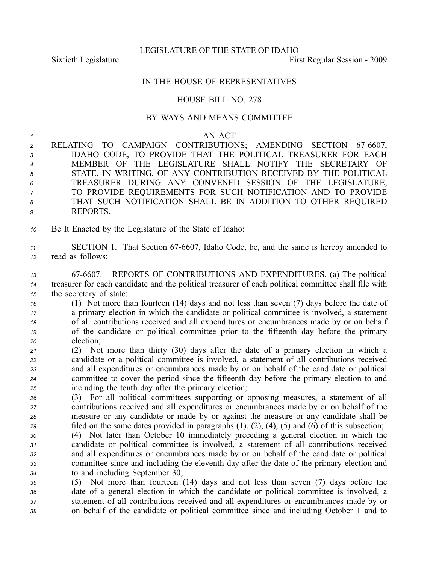LEGISLATURE OF THE STATE OF IDAHO

Sixtieth Legislature **First** Regular Session - 2009

## IN THE HOUSE OF REPRESENTATIVES

## HOUSE BILL NO. 278

## BY WAYS AND MEANS COMMITTEE

## *<sup>1</sup>* AN ACT

| $2^{\circ}$                    | RELATING TO CAMPAIGN CONTRIBUTIONS; AMENDING SECTION 67-6607,    |
|--------------------------------|------------------------------------------------------------------|
| $3 \left( \frac{1}{2} \right)$ | IDAHO CODE, TO PROVIDE THAT THE POLITICAL TREASURER FOR EACH     |
| $\overline{4}$                 | MEMBER OF THE LEGISLATURE SHALL NOTIFY THE SECRETARY OF          |
| 5 <sub>5</sub>                 | STATE, IN WRITING, OF ANY CONTRIBUTION RECEIVED BY THE POLITICAL |
| $6\overline{6}$                | TREASURER DURING ANY CONVENED SESSION OF THE LEGISLATURE,        |
| 7 <sup>7</sup>                 | TO PROVIDE REQUIREMENTS FOR SUCH NOTIFICATION AND TO PROVIDE     |
| $8\,$                          | THAT SUCH NOTIFICATION SHALL BE IN ADDITION TO OTHER REQUIRED    |
| 9                              | REPORTS.                                                         |

- *<sup>10</sup>* Be It Enacted by the Legislature of the State of Idaho:
- *<sup>11</sup>* SECTION 1. That Section 676607, Idaho Code, be, and the same is hereby amended to *<sup>12</sup>* read as follows:
- *<sup>13</sup>* 676607. REPORTS OF CONTRIBUTIONS AND EXPENDITURES. (a) The political *<sup>14</sup>* treasurer for each candidate and the political treasurer of each political committee shall file with *<sup>15</sup>* the secretary of state:
- *<sup>16</sup>* (1) Not more than fourteen (14) days and not less than seven (7) days before the date of *<sup>17</sup>* <sup>a</sup> primary election in which the candidate or political committee is involved, <sup>a</sup> statement *<sup>18</sup>* of all contributions received and all expenditures or encumbrances made by or on behalf *<sup>19</sup>* of the candidate or political committee prior to the fifteenth day before the primary *<sup>20</sup>* election;
- *<sup>21</sup>* (2) Not more than thirty (30) days after the date of <sup>a</sup> primary election in which <sup>a</sup> *<sup>22</sup>* candidate or <sup>a</sup> political committee is involved, <sup>a</sup> statement of all contributions received *<sup>23</sup>* and all expenditures or encumbrances made by or on behalf of the candidate or political *<sup>24</sup>* committee to cover the period since the fifteenth day before the primary election to and *<sup>25</sup>* including the tenth day after the primary election;
- *<sup>26</sup>* (3) For all political committees supporting or opposing measures, <sup>a</sup> statement of all *<sup>27</sup>* contributions received and all expenditures or encumbrances made by or on behalf of the *<sup>28</sup>* measure or any candidate or made by or against the measure or any candidate shall be *<sup>29</sup>* filed on the same dates provided in paragraphs (1), (2), (4), (5) and (6) of this subsection;
- *<sup>30</sup>* (4) Not later than October 10 immediately preceding <sup>a</sup> general election in which the *<sup>31</sup>* candidate or political committee is involved, <sup>a</sup> statement of all contributions received *<sup>32</sup>* and all expenditures or encumbrances made by or on behalf of the candidate or political *<sup>33</sup>* committee since and including the eleventh day after the date of the primary election and *<sup>34</sup>* to and including September 30;
- *<sup>35</sup>* (5) Not more than fourteen (14) days and not less than seven (7) days before the *<sup>36</sup>* date of <sup>a</sup> general election in which the candidate or political committee is involved, <sup>a</sup> *<sup>37</sup>* statement of all contributions received and all expenditures or encumbrances made by or *<sup>38</sup>* on behalf of the candidate or political committee since and including October 1 and to